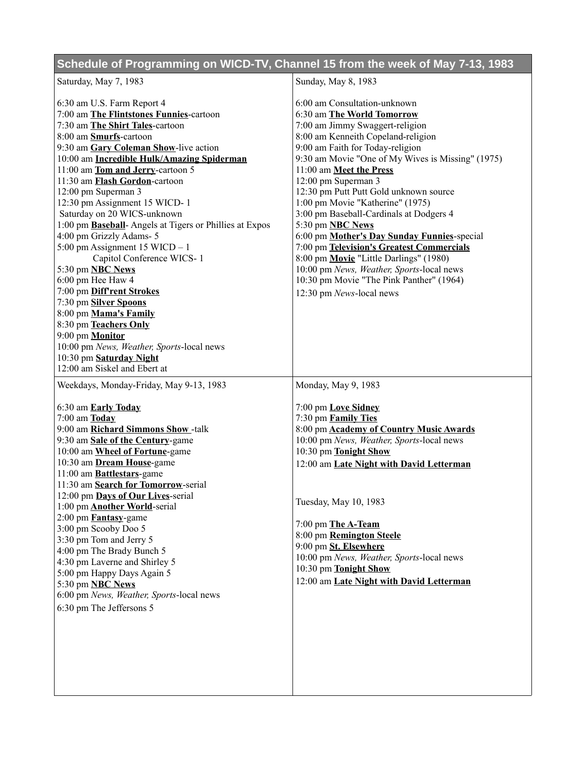## **Schedule of Programming on WICD-TV, Channel 15 from the week of May 7-13, 1983**

| Saturday, May 7, 1983                                          | Sunday, May 8, 1983                               |
|----------------------------------------------------------------|---------------------------------------------------|
|                                                                | 6:00 am Consultation-unknown                      |
| 6:30 am U.S. Farm Report 4                                     |                                                   |
| 7:00 am The Flintstones Funnies-cartoon                        | 6:30 am The World Tomorrow                        |
| 7:30 am The Shirt Tales-cartoon                                | 7:00 am Jimmy Swaggert-religion                   |
| 8:00 am Smurfs-cartoon                                         | 8:00 am Kenneith Copeland-religion                |
| 9:30 am Gary Coleman Show-live action                          | 9:00 am Faith for Today-religion                  |
| 10:00 am Incredible Hulk/Amazing Spiderman                     | 9:30 am Movie "One of My Wives is Missing" (1975) |
| 11:00 am Tom and Jerry-cartoon 5                               | 11:00 am Meet the Press                           |
| 11:30 am Flash Gordon-cartoon                                  | 12:00 pm Superman 3                               |
| 12:00 pm Superman 3                                            | 12:30 pm Putt Putt Gold unknown source            |
| 12:30 pm Assignment 15 WICD-1                                  | 1:00 pm Movie "Katherine" (1975)                  |
| Saturday on 20 WICS-unknown                                    | 3:00 pm Baseball-Cardinals at Dodgers 4           |
| 1:00 pm <b>Baseball</b> -Angels at Tigers or Phillies at Expos | 5:30 pm <b>NBC News</b>                           |
| 4:00 pm Grizzly Adams- 5                                       | 6:00 pm Mother's Day Sunday Funnies-special       |
| $5:00$ pm Assignment 15 WICD $-1$                              | 7:00 pm Television's Greatest Commercials         |
| Capitol Conference WICS-1                                      | 8:00 pm Movie "Little Darlings" (1980)            |
| 5:30 pm <b>NBC News</b>                                        | 10:00 pm News, Weather, Sports-local news         |
| 6:00 pm Hee Haw 4                                              | 10:30 pm Movie "The Pink Panther" (1964)          |
| 7:00 pm Diff'rent Strokes                                      | 12:30 pm News-local news                          |
| 7:30 pm Silver Spoons                                          |                                                   |
| 8:00 pm Mama's Family                                          |                                                   |
| 8:30 pm Teachers Only                                          |                                                   |
| 9:00 pm <b>Monitor</b>                                         |                                                   |
| 10:00 pm News, Weather, Sports-local news                      |                                                   |
| 10:30 pm Saturday Night                                        |                                                   |
| 12:00 am Siskel and Ebert at                                   |                                                   |
| Weekdays, Monday-Friday, May 9-13, 1983                        | Monday, May 9, 1983                               |
|                                                                |                                                   |
| 6:30 am Early Today                                            | 7:00 pm Love Sidney                               |
| $7:00$ am $\underline{\textbf{Today}}$                         | 7:30 pm Family Ties                               |
| 9:00 am Richard Simmons Show-talk                              | 8:00 pm <b>Academy of Country Music Awards</b>    |
| 9:30 am Sale of the Century-game                               | 10:00 pm News, Weather, Sports-local news         |
| 10:00 am Wheel of Fortune-game                                 | 10:30 pm Tonight Show                             |
| 10:30 am Dream House-game                                      | 12:00 am Late Night with David Letterman          |
| 11:00 am <b>Battlestars</b> -game                              |                                                   |
| 11:30 am Search for Tomorrow-serial                            |                                                   |
| 12:00 pm Days of Our Lives-serial                              | Tuesday, May 10, 1983                             |
| 1:00 pm <b>Another World</b> -serial                           |                                                   |
| 2:00 pm <b>Fantasy</b> -game                                   | 7:00 pm The A-Team                                |
| 3:00 pm Scooby Doo 5<br>3:30 pm Tom and Jerry 5                | 8:00 pm Remington Steele                          |
|                                                                | 9:00 pm St. Elsewhere                             |
| 4:00 pm The Brady Bunch 5                                      | 10:00 pm News, Weather, Sports-local news         |
| 4:30 pm Laverne and Shirley 5                                  | 10:30 pm Tonight Show                             |
| 5:00 pm Happy Days Again 5                                     | 12:00 am Late Night with David Letterman          |
| 5:30 pm <b>NBC News</b>                                        |                                                   |
| 6:00 pm News, Weather, Sports-local news                       |                                                   |
| 6:30 pm The Jeffersons 5                                       |                                                   |
|                                                                |                                                   |
|                                                                |                                                   |
|                                                                |                                                   |
|                                                                |                                                   |
|                                                                |                                                   |
|                                                                |                                                   |
|                                                                |                                                   |